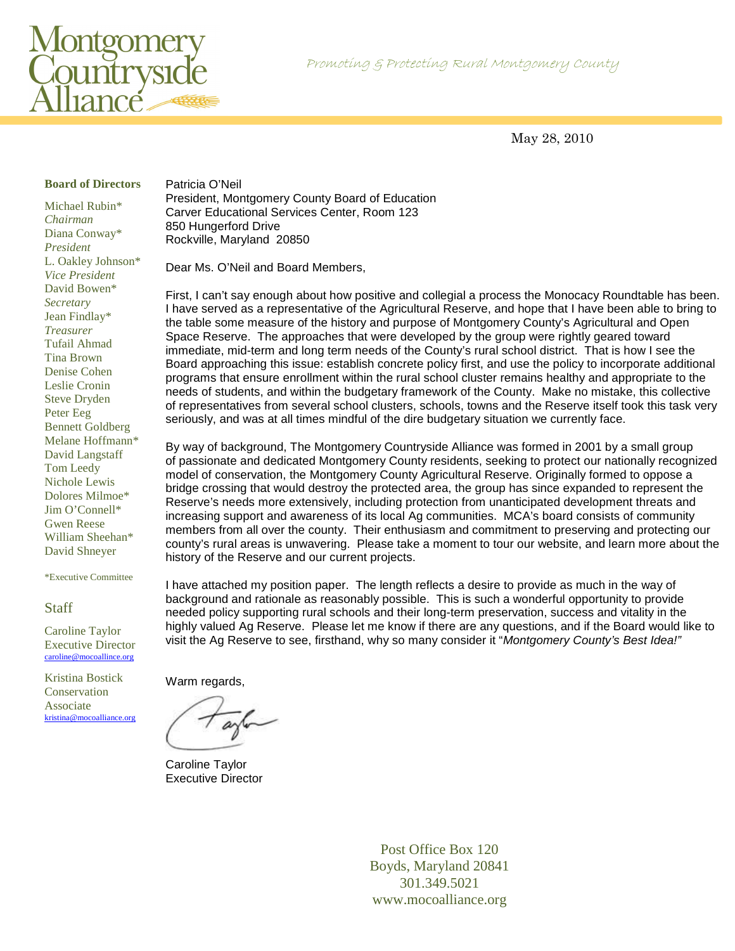



May 28, 2010

### **Board of Directors**

Michael Rubin\* *Chairman*  Diana Conway\* *President*  L. Oakley Johnson\* *Vice President*  David Bowen\* *Secretary*  Jean Findlay\* *Treasurer*  Tufail Ahmad Tina Brown Denise Cohen Leslie Cronin Steve Dryden Peter Eeg Bennett Goldberg Melane Hoffmann\* David Langstaff Tom Leedy Nichole Lewis Dolores Milmoe\* Jim O'Connell\* Gwen Reese William Sheehan\* David Shneyer

\*Executive Committee

#### **Staff**

Caroline Taylor Executive Director caroline@mocoallince.org

Kristina Bostick Conservation Associate kristina@mocoalliance.org Patricia O'Neil President, Montgomery County Board of Education Carver Educational Services Center, Room 123 850 Hungerford Drive Rockville, Maryland 20850

Dear Ms. O'Neil and Board Members,

First, I can't say enough about how positive and collegial a process the Monocacy Roundtable has been. I have served as a representative of the Agricultural Reserve, and hope that I have been able to bring to the table some measure of the history and purpose of Montgomery County's Agricultural and Open Space Reserve. The approaches that were developed by the group were rightly geared toward immediate, mid-term and long term needs of the County's rural school district. That is how I see the Board approaching this issue: establish concrete policy first, and use the policy to incorporate additional programs that ensure enrollment within the rural school cluster remains healthy and appropriate to the needs of students, and within the budgetary framework of the County. Make no mistake, this collective of representatives from several school clusters, schools, towns and the Reserve itself took this task very seriously, and was at all times mindful of the dire budgetary situation we currently face.

By way of background, The Montgomery Countryside Alliance was formed in 2001 by a small group of passionate and dedicated Montgomery County residents, seeking to protect our nationally recognized model of conservation, the Montgomery County Agricultural Reserve. Originally formed to oppose a bridge crossing that would destroy the protected area, the group has since expanded to represent the Reserve's needs more extensively, including protection from unanticipated development threats and increasing support and awareness of its local Ag communities. MCA's board consists of community members from all over the county. Their enthusiasm and commitment to preserving and protecting our county's rural areas is unwavering. Please take a moment to tour our website, and learn more about the history of the Reserve and our current projects.

I have attached my position paper. The length reflects a desire to provide as much in the way of background and rationale as reasonably possible. This is such a wonderful opportunity to provide needed policy supporting rural schools and their long-term preservation, success and vitality in the highly valued Ag Reserve. Please let me know if there are any questions, and if the Board would like to visit the Ag Reserve to see, firsthand, why so many consider it "Montgomery County's Best Idea!"

Warm regards,

Caroline Taylor Executive Director

Post Office Box 120 Boyds, Maryland 20841 301.349.5021 www.mocoalliance.org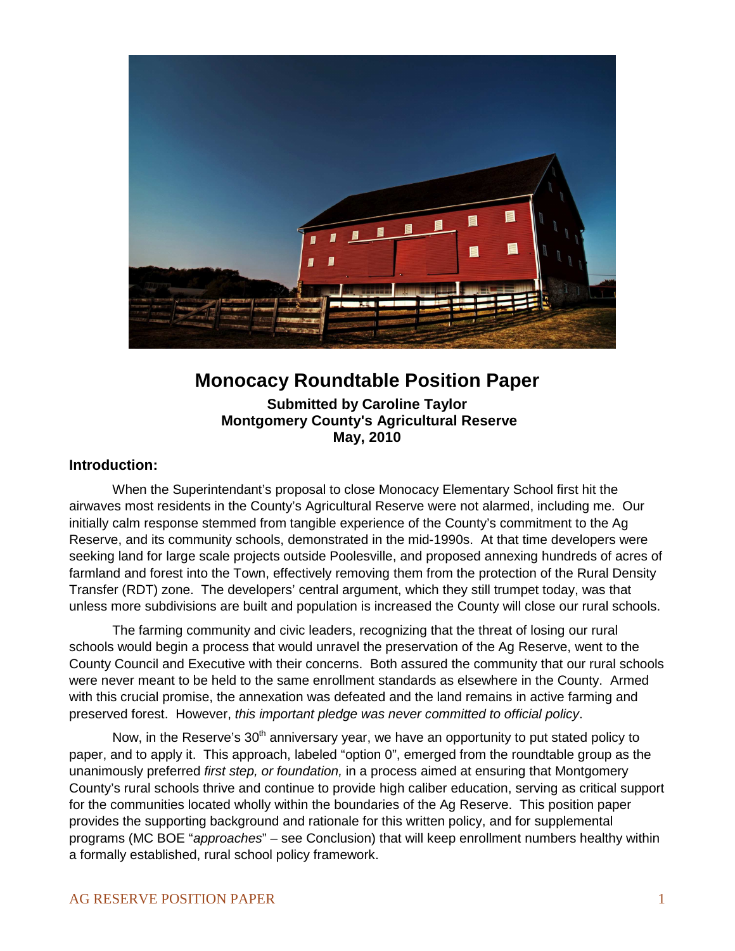

# **Monocacy Roundtable Position Paper**

**Submitted by Caroline Taylor Montgomery County's Agricultural Reserve May, 2010** 

## **Introduction:**

 When the Superintendant's proposal to close Monocacy Elementary School first hit the airwaves most residents in the County's Agricultural Reserve were not alarmed, including me. Our initially calm response stemmed from tangible experience of the County's commitment to the Ag Reserve, and its community schools, demonstrated in the mid-1990s. At that time developers were seeking land for large scale projects outside Poolesville, and proposed annexing hundreds of acres of farmland and forest into the Town, effectively removing them from the protection of the Rural Density Transfer (RDT) zone. The developers' central argument, which they still trumpet today, was that unless more subdivisions are built and population is increased the County will close our rural schools.

The farming community and civic leaders, recognizing that the threat of losing our rural schools would begin a process that would unravel the preservation of the Ag Reserve, went to the County Council and Executive with their concerns. Both assured the community that our rural schools were never meant to be held to the same enrollment standards as elsewhere in the County. Armed with this crucial promise, the annexation was defeated and the land remains in active farming and preserved forest. However, this important pledge was never committed to official policy.

Now, in the Reserve's  $30<sup>th</sup>$  anniversary year, we have an opportunity to put stated policy to paper, and to apply it. This approach, labeled "option 0", emerged from the roundtable group as the unanimously preferred first step, or foundation, in a process aimed at ensuring that Montgomery County's rural schools thrive and continue to provide high caliber education, serving as critical support for the communities located wholly within the boundaries of the Ag Reserve. This position paper provides the supporting background and rationale for this written policy, and for supplemental programs (MC BOE "approaches" – see Conclusion) that will keep enrollment numbers healthy within a formally established, rural school policy framework.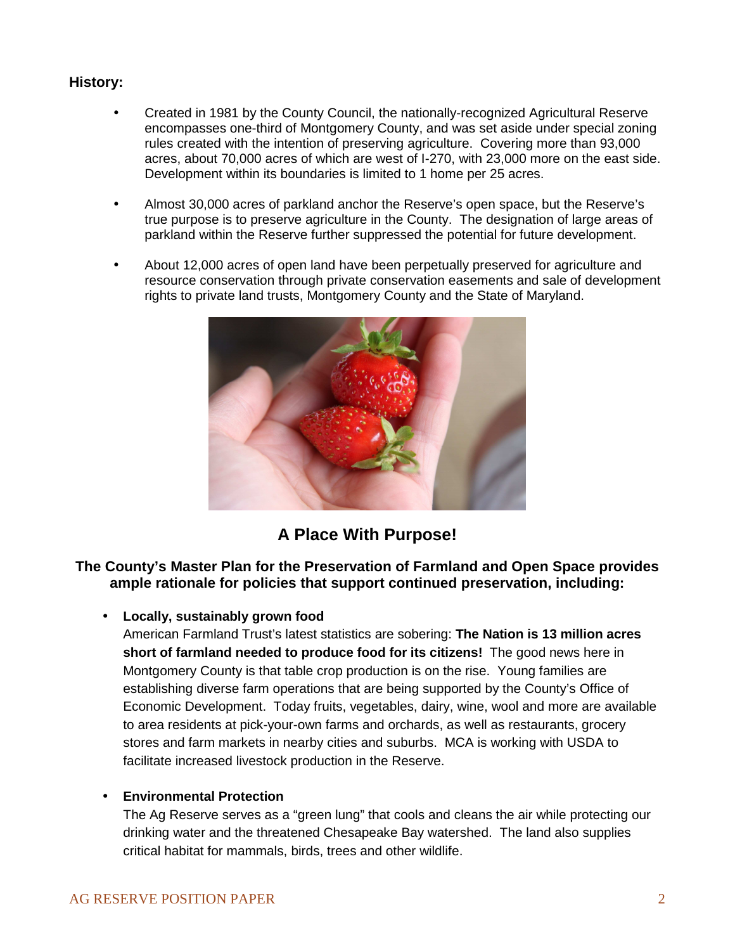## **History:**

- Created in 1981 by the County Council, the nationally-recognized Agricultural Reserve encompasses one-third of Montgomery County, and was set aside under special zoning rules created with the intention of preserving agriculture. Covering more than 93,000 acres, about 70,000 acres of which are west of I-270, with 23,000 more on the east side. Development within its boundaries is limited to 1 home per 25 acres.
- Almost 30,000 acres of parkland anchor the Reserve's open space, but the Reserve's true purpose is to preserve agriculture in the County. The designation of large areas of parkland within the Reserve further suppressed the potential for future development.
- About 12,000 acres of open land have been perpetually preserved for agriculture and resource conservation through private conservation easements and sale of development rights to private land trusts, Montgomery County and the State of Maryland.



# **A Place With Purpose!**

## **The County's Master Plan for the Preservation of Farmland and Open Space provides ample rationale for policies that support continued preservation, including:**

## • **Locally, sustainably grown food**

American Farmland Trust's latest statistics are sobering: **The Nation is 13 million acres short of farmland needed to produce food for its citizens!** The good news here in Montgomery County is that table crop production is on the rise. Young families are establishing diverse farm operations that are being supported by the County's Office of Economic Development. Today fruits, vegetables, dairy, wine, wool and more are available to area residents at pick-your-own farms and orchards, as well as restaurants, grocery stores and farm markets in nearby cities and suburbs. MCA is working with USDA to facilitate increased livestock production in the Reserve.

### • **Environmental Protection**

The Ag Reserve serves as a "green lung" that cools and cleans the air while protecting our drinking water and the threatened Chesapeake Bay watershed. The land also supplies critical habitat for mammals, birds, trees and other wildlife.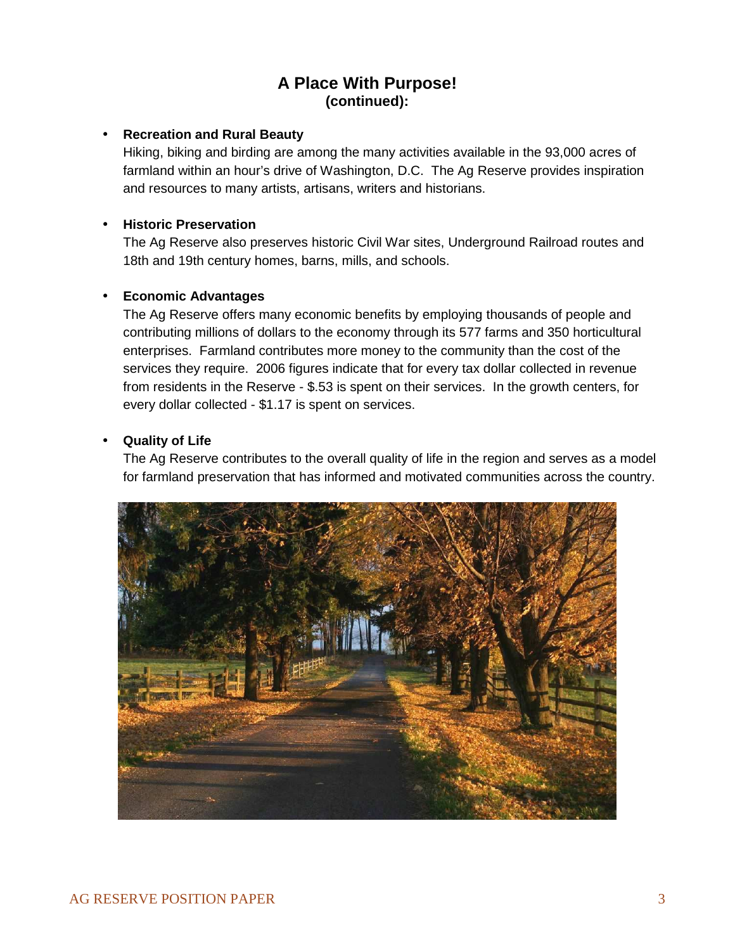## **A Place With Purpose! (continued):**

## • **Recreation and Rural Beauty**

Hiking, biking and birding are among the many activities available in the 93,000 acres of farmland within an hour's drive of Washington, D.C. The Ag Reserve provides inspiration and resources to many artists, artisans, writers and historians.

## • **Historic Preservation**

The Ag Reserve also preserves historic Civil War sites, Underground Railroad routes and 18th and 19th century homes, barns, mills, and schools.

## • **Economic Advantages**

The Ag Reserve offers many economic benefits by employing thousands of people and contributing millions of dollars to the economy through its 577 farms and 350 horticultural enterprises. Farmland contributes more money to the community than the cost of the services they require. 2006 figures indicate that for every tax dollar collected in revenue from residents in the Reserve - \$.53 is spent on their services. In the growth centers, for every dollar collected - \$1.17 is spent on services.

## • **Quality of Life**

The Ag Reserve contributes to the overall quality of life in the region and serves as a model for farmland preservation that has informed and motivated communities across the country.

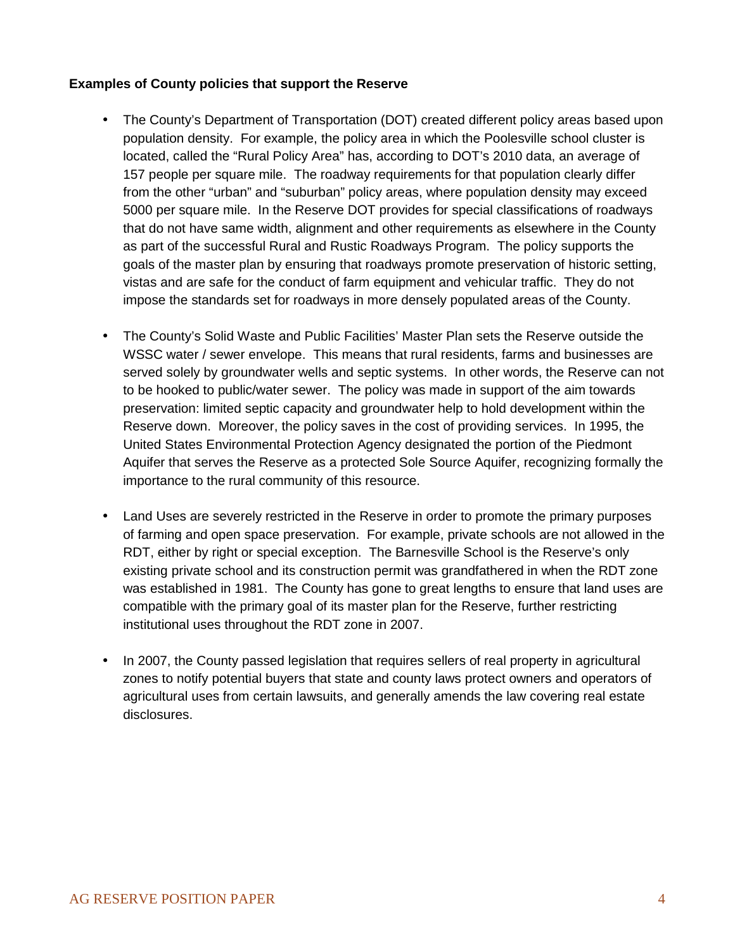## **Examples of County policies that support the Reserve**

- The County's Department of Transportation (DOT) created different policy areas based upon population density. For example, the policy area in which the Poolesville school cluster is located, called the "Rural Policy Area" has, according to DOT's 2010 data, an average of 157 people per square mile. The roadway requirements for that population clearly differ from the other "urban" and "suburban" policy areas, where population density may exceed 5000 per square mile. In the Reserve DOT provides for special classifications of roadways that do not have same width, alignment and other requirements as elsewhere in the County as part of the successful Rural and Rustic Roadways Program. The policy supports the goals of the master plan by ensuring that roadways promote preservation of historic setting, vistas and are safe for the conduct of farm equipment and vehicular traffic. They do not impose the standards set for roadways in more densely populated areas of the County.
- The County's Solid Waste and Public Facilities' Master Plan sets the Reserve outside the WSSC water / sewer envelope. This means that rural residents, farms and businesses are served solely by groundwater wells and septic systems. In other words, the Reserve can not to be hooked to public/water sewer. The policy was made in support of the aim towards preservation: limited septic capacity and groundwater help to hold development within the Reserve down. Moreover, the policy saves in the cost of providing services. In 1995, the United States Environmental Protection Agency designated the portion of the Piedmont Aquifer that serves the Reserve as a protected Sole Source Aquifer, recognizing formally the importance to the rural community of this resource.
- Land Uses are severely restricted in the Reserve in order to promote the primary purposes of farming and open space preservation. For example, private schools are not allowed in the RDT, either by right or special exception. The Barnesville School is the Reserve's only existing private school and its construction permit was grandfathered in when the RDT zone was established in 1981. The County has gone to great lengths to ensure that land uses are compatible with the primary goal of its master plan for the Reserve, further restricting institutional uses throughout the RDT zone in 2007.
- In 2007, the County passed legislation that requires sellers of real property in agricultural zones to notify potential buyers that state and county laws protect owners and operators of agricultural uses from certain lawsuits, and generally amends the law covering real estate disclosures.